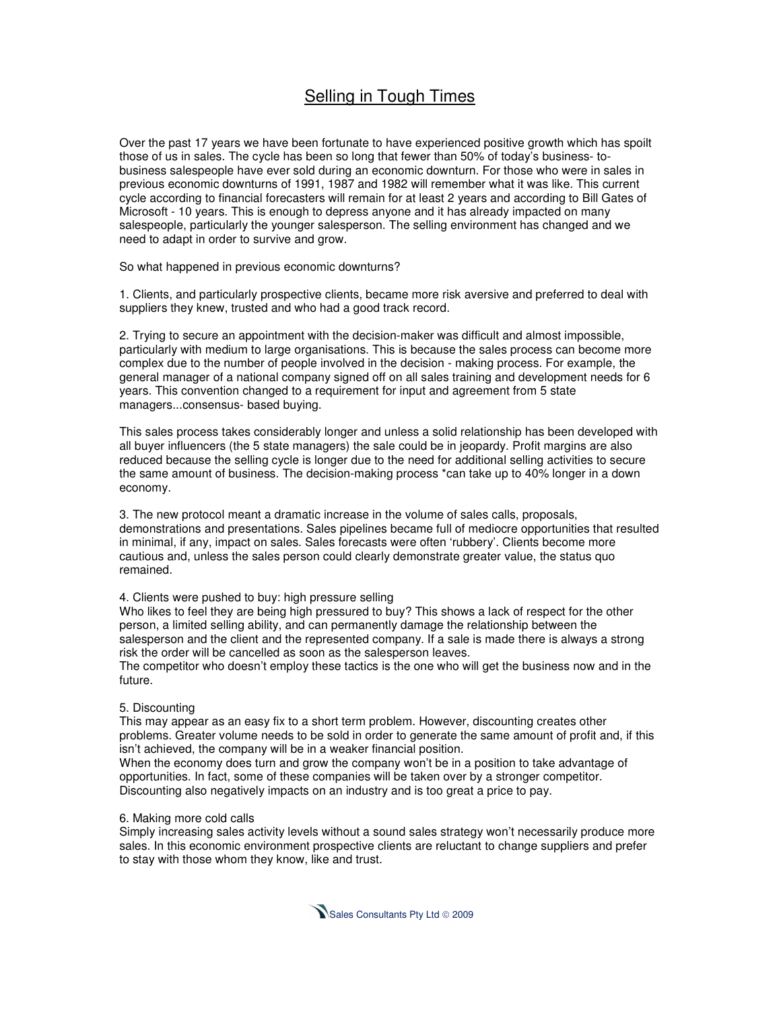# Selling in Tough Times

Over the past 17 years we have been fortunate to have experienced positive growth which has spoilt those of us in sales. The cycle has been so long that fewer than 50% of today's business- tobusiness salespeople have ever sold during an economic downturn. For those who were in sales in previous economic downturns of 1991, 1987 and 1982 will remember what it was like. This current cycle according to financial forecasters will remain for at least 2 years and according to Bill Gates of Microsoft - 10 years. This is enough to depress anyone and it has already impacted on many salespeople, particularly the younger salesperson. The selling environment has changed and we need to adapt in order to survive and grow.

So what happened in previous economic downturns?

1. Clients, and particularly prospective clients, became more risk aversive and preferred to deal with suppliers they knew, trusted and who had a good track record.

2. Trying to secure an appointment with the decision-maker was difficult and almost impossible, particularly with medium to large organisations. This is because the sales process can become more complex due to the number of people involved in the decision - making process. For example, the general manager of a national company signed off on all sales training and development needs for 6 years. This convention changed to a requirement for input and agreement from 5 state managers...consensus- based buying.

This sales process takes considerably longer and unless a solid relationship has been developed with all buyer influencers (the 5 state managers) the sale could be in jeopardy. Profit margins are also reduced because the selling cycle is longer due to the need for additional selling activities to secure the same amount of business. The decision-making process \*can take up to 40% longer in a down economy.

3. The new protocol meant a dramatic increase in the volume of sales calls, proposals, demonstrations and presentations. Sales pipelines became full of mediocre opportunities that resulted in minimal, if any, impact on sales. Sales forecasts were often 'rubbery'. Clients become more cautious and, unless the sales person could clearly demonstrate greater value, the status quo remained.

## 4. Clients were pushed to buy: high pressure selling

Who likes to feel they are being high pressured to buy? This shows a lack of respect for the other person, a limited selling ability, and can permanently damage the relationship between the salesperson and the client and the represented company. If a sale is made there is always a strong risk the order will be cancelled as soon as the salesperson leaves.

The competitor who doesn't employ these tactics is the one who will get the business now and in the future.

## 5. Discounting

This may appear as an easy fix to a short term problem. However, discounting creates other problems. Greater volume needs to be sold in order to generate the same amount of profit and, if this isn't achieved, the company will be in a weaker financial position.

When the economy does turn and grow the company won't be in a position to take advantage of opportunities. In fact, some of these companies will be taken over by a stronger competitor. Discounting also negatively impacts on an industry and is too great a price to pay.

## 6. Making more cold calls

Simply increasing sales activity levels without a sound sales strategy won't necessarily produce more sales. In this economic environment prospective clients are reluctant to change suppliers and prefer to stay with those whom they know, like and trust.